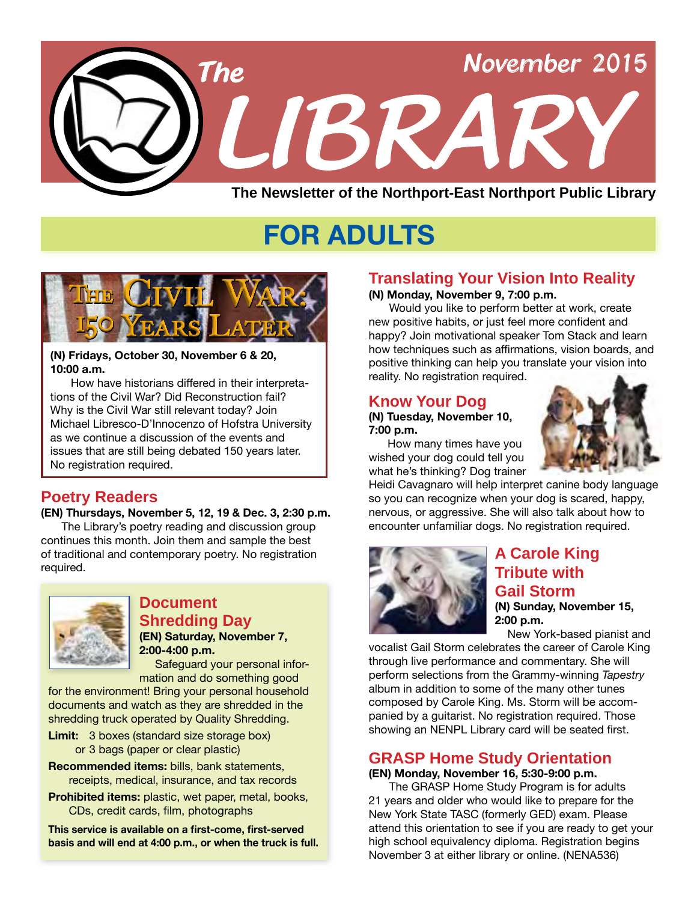

# **FOR ADULTS**



#### **(N) Fridays, October 30, November 6 & 20, 10:00 a.m.**

 How have historians differed in their interpretations of the Civil War? Did Reconstruction fail? Why is the Civil War still relevant today? Join Michael Libresco-D'Innocenzo of Hofstra University as we continue a discussion of the events and issues that are still being debated 150 years later. No registration required.

# **Poetry Readers**

#### **(EN) Thursdays, November 5, 12, 19 & Dec. 3, 2:30 p.m.**

The Library's poetry reading and discussion group continues this month. Join them and sample the best of traditional and contemporary poetry. No registration required.



#### **Document Shredding Day (EN) Saturday, November 7, 2:00-4:00 p.m.**

Safeguard your personal information and do something good

for the environment! Bring your personal household documents and watch as they are shredded in the shredding truck operated by Quality Shredding.

- **Limit:** 3 boxes (standard size storage box) or 3 bags (paper or clear plastic)
- **Recommended items:** bills, bank statements, receipts, medical, insurance, and tax records
- **Prohibited items:** plastic, wet paper, metal, books, CDs, credit cards, film, photographs

**This service is available on a first-come, first-served basis and will end at 4:00 p.m., or when the truck is full.**

# **Translating Your Vision Into Reality**

#### **(N) Monday, November 9, 7:00 p.m.**

 Would you like to perform better at work, create new positive habits, or just feel more confident and happy? Join motivational speaker Tom Stack and learn how techniques such as affirmations, vision boards, and positive thinking can help you translate your vision into reality. No registration required.

### **Know Your Dog**

#### **(N) Tuesday, November 10, 7:00 p.m.**

 How many times have you wished your dog could tell you what he's thinking? Dog trainer



Heidi Cavagnaro will help interpret canine body language so you can recognize when your dog is scared, happy, nervous, or aggressive. She will also talk about how to encounter unfamiliar dogs. No registration required.



# **A Carole King Tribute with Gail Storm (N) Sunday, November 15, 2:00 p.m.**

New York-based pianist and

vocalist Gail Storm celebrates the career of Carole King through live performance and commentary. She will perform selections from the Grammy-winning *Tapestry* album in addition to some of the many other tunes composed by Carole King. Ms. Storm will be accompanied by a guitarist. No registration required. Those showing an NENPL Library card will be seated first.

# **GRASP Home Study Orientation**

#### **(EN) Monday, November 16, 5:30-9:00 p.m.**

 The GRASP Home Study Program is for adults 21 years and older who would like to prepare for the New York State TASC (formerly GED) exam. Please attend this orientation to see if you are ready to get your high school equivalency diploma. Registration begins November 3 at either library or online. ([NENA536](http://alpha2.suffolk.lib.ny.us/search/?searchtype=X&SORT=D&searcharg=nena536&searchscope=43))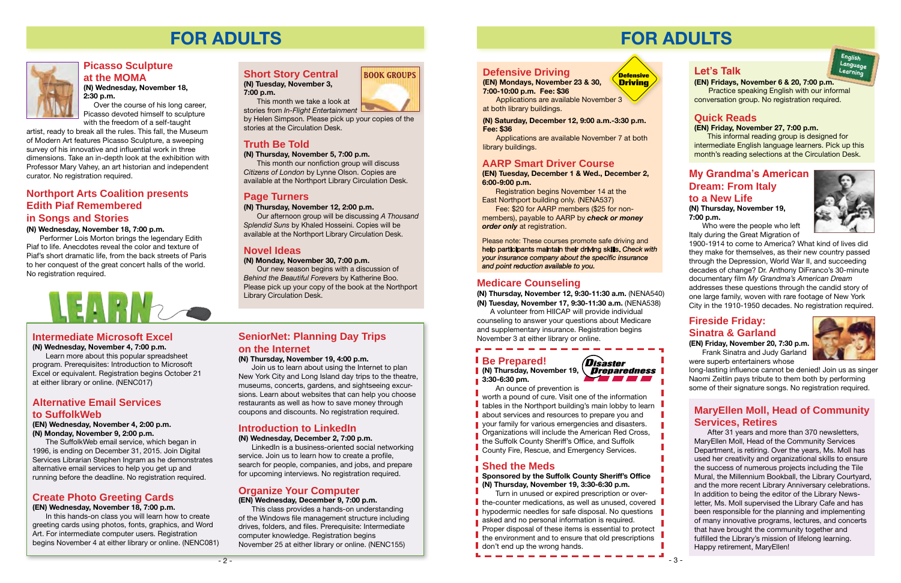**(N) Tuesday, November 3, 7:00 p.m.**

 This month we take a look at stories from *In-Flight Entertainment*

by Helen Simpson. Please pick up your copies of the stories at the Circulation Desk.

# **Truth Be Told**

#### **(N) Thursday, November 5, 7:00 p.m.**

 This month our nonfiction group will discuss *Citizens of London* by Lynne Olson. Copies are available at the Northport Library Circulation Desk.

# **Page Turners**

#### **(N) Thursday, November 12, 2:00 p.m.**

 Our afternoon group will be discussing *A Thousand Splendid Suns* by Khaled Hosseini. Copies will be available at the Northport Library Circulation Desk.

# **Novel Ideas**

#### **(N) Monday, November 30, 7:00 p.m.**

Our new season begins with a discussion of *Behind the Beautiful Forevers* by Katherine Boo. Please pick up your copy of the book at the Northport Library Circulation Desk.

# **FOR ADULTS**



# **Intermediate Microsoft Excel**

#### **(N) Wednesday, November 4, 7:00 p.m.**

 Learn more about this popular spreadsheet program. Prerequisites: Introduction to Microsoft Excel or equivalent. Registration begins October 21 at either library or online. [\(NENC017\)](http://alpha2.suffolk.lib.ny.us/search/?searchtype=X&SORT=D&searcharg=nenc017&searchscope=43)

## **Alternative Email Services to SuffolkWeb**

**(EN) Wednesday, November 4, 2:00 p.m. (N) Monday, November 9, 2:00 p.m.**

 The SuffolkWeb email service, which began in 1996, is ending on December 31, 2015. Join Digital Services Librarian Stephen Ingram as he demonstrates alternative email services to help you get up and running before the deadline. No registration required.

# **Organize Your Computer**

**(EN) Wednesday, December 9, 7:00 p.m.** 

 This class provides a hands-on understanding of the Windows file management structure including drives, folders, and files. Prerequisite: Intermediate computer knowledge. Registration begins November 25 at either library or online. [\(NENC155\)](http://alpha2.suffolk.lib.ny.us/search/?searchtype=X&SORT=D&searcharg=nenc155&searchscope=43)



# **Create Photo Greeting Cards**

**(EN) Wednesday, November 18, 7:00 p.m.**

In this hands-on class you will learn how to create greeting cards using photos, fonts, graphics, and Word Art. For intermediate computer users. Registration begins November 4 at either library or online. [\(NENC081\)](http://alpha2.suffolk.lib.ny.us/search/?searchtype=X&SORT=D&searcharg=nenc081&searchscope=43)

# **Short Story Central BOOK GROUPS**

# **SeniorNet: Planning Day Trips on the Internet**

#### **(N) Thursday, November 19, 4:00 p.m.**

 Join us to learn about using the Internet to plan New York City and Long Island day trips to the theatre, museums, concerts, gardens, and sightseeing excursions. Learn about websites that can help you choose restaurants as well as how to save money through coupons and discounts. No registration required.

# **Introduction to LinkedIn**

**(N) Wednesday, December 2, 7:00 p.m.** 

LinkedIn is a business-oriented social networking service. Join us to learn how to create a profile, search for people, companies, and jobs, and prepare for upcoming interviews. No registration required.

Fee: \$20 for AARP members (\$25 for nonmembers), payable to AARP by *check or money order only* at registration.

# **Northport Arts Coalition presents Edith Piaf Remembered in Songs and Stories**

#### **(N) Wednesday, November 18, 7:00 p.m.**

Performer Lois Morton brings the legendary Edith Piaf to life. Anecdotes reveal the color and texture of Piaf's short dramatic life, from the back streets of Paris to her conquest of the great concert halls of the world. No registration required.

# **Picasso Sculpture at the MOMA**

**(N) Wednesday, November 18, 2:30 p.m.**

 Over the course of his long career, Picasso devoted himself to sculpture with the freedom of a self-taught

> (N) Thursday, November 19, \\_*Dreparedness* **3:30-6:30 pm.**

artist, ready to break all the rules. This fall, the Museum of Modern Art features Picasso Sculpture, a sweeping survey of his innovative and influential work in three dimensions. Take an in-depth look at the exhibition with Professor Mary Vahey, an art historian and independent curator. No registration required.

- $\blacksquare$  tables in the Northport building's main lobby to learn  $\blacksquare$
- **about services and resources to prepare you and**
- **your family for various emergencies and disasters. Organizations will include the American Red Cross,**
- the Suffolk County Sheriff's Office, and Suffolk
- County Fire, Rescue, and Emergency Services.

# **FOR ADULTS**

# **Medicare Counseling**

 Turn in unused or expired prescription or over- $\blacksquare$  the-counter medications, as well as unused, covered  $\blacksquare$ **h** hypodermic needles for safe disposal. No questions

- asked and no personal information is required.
- Proper disposal of these items is essential to protect
- the environment and to ensure that old prescriptions
- don't end up the wrong hands.

**(N) Thursday, November 12, 9:30-11:30 a.m.** [\(NENA540](http://alpha2.suffolk.lib.ny.us/search/?searchtype=X&SORT=D&searcharg=nena540&searchscope=43)) **(N) Tuesday, November 17, 9:30-11:30 a.m.** [\(NENA538](http://alpha2.suffolk.lib.ny.us/search/?searchtype=X&SORT=D&searcharg=nena538&searchscope=43)) 

 A volunteer from HIICAP will provide individual counseling to answer your questions about Medicare and supplementary insurance. Registration begins November 3 at either library or online.

# **My Grandma's American Dream: From Italy to a New Life**

#### **(N) Thursday, November 19, 7:00 p.m.**

 Who were the people who left Italy during the Great Migration of



1900-1914 to come to America? What kind of lives did they make for themselves, as their new country passed through the Depression, World War II, and succeeding decades of change? Dr. Anthony DiFranco's 30-minute documentary film *My Grandma's American Dream* addresses these questions through the candid story of one large family, woven with rare footage of New York City in the 1910-1950 decades. No registration required.

# **Let's Talk**

**(EN) Fridays, November 6 & 20, 7:00 p.m.**

 Practice speaking English with our informal conversation group. No registration required.

**English Language Learning**

# **Quick Reads**

#### **(EN) Friday, November 27, 7:00 p.m.**

 This informal reading group is designed for intermediate English language learners. Pick up this month's reading selections at the Circulation Desk.



# **Defensive Driving**

**(EN) Mondays, November 23 & 30, 7:00-10:00 p.m. Fee: \$36**

Applications are available November 3 at both library buildings.

**(N) Saturday, December 12, 9:00 a.m.-3:30 p.m. Fee: \$36**

Applications are available November 7 at both library buildings.

**Defensive Driving**

# **AARP Smart Driver Course**

**(EN) Tuesday, December 1 & Wed., December 2, 6:00-9:00 p.m.**

Registration begins November 14 at the East Northport building only. ([NENA537](http://alpha2.suffolk.lib.ny.us/search/?searchtype=X&SORT=D&searcharg=nena537&searchscope=43))

Please note: These courses promote safe driving and help participants maintain their driving skills. *Check with your insurance company about the specific insurance and point reduction available to you.*

# **Fireside Friday: Sinatra & Garland**

**(EN) Friday, November 20, 7:30 p.m.** Frank Sinatra and Judy Garland were superb entertainers whose

long-lasting influence cannot be denied! Join us as singer Naomi Zeitlin pays tribute to them both by performing some of their signature songs. No registration required.

# **MaryEllen Moll, Head of Community Services, Retires**

 After 31 years and more than 370 newsletters, MaryEllen Moll, Head of the Community Services Department, is retiring. Over the years, Ms. Moll has used her creativity and organizational skills to ensure the success of numerous projects including the Tile Mural, the Millennium Bookball, the Library Courtyard, and the more recent Library Anniversary celebrations. In addition to being the editor of the Library Newsletter, Ms. Moll supervised the Library Cafe and has been responsible for the planning and implementing of many innovative programs, lectures, and concerts that have brought the community together and fulfilled the Library's mission of lifelong learning. Happy retirement, MaryEllen!

# **Be Prepared!**

 An ounce of prevention is

worth a pound of cure. Visit one of the information

# **Shed the Meds**

#### **Sponsored by the Suffolk County Sheriff's Office (N) Thursday, November 19, 3:30-6:30 p.m.**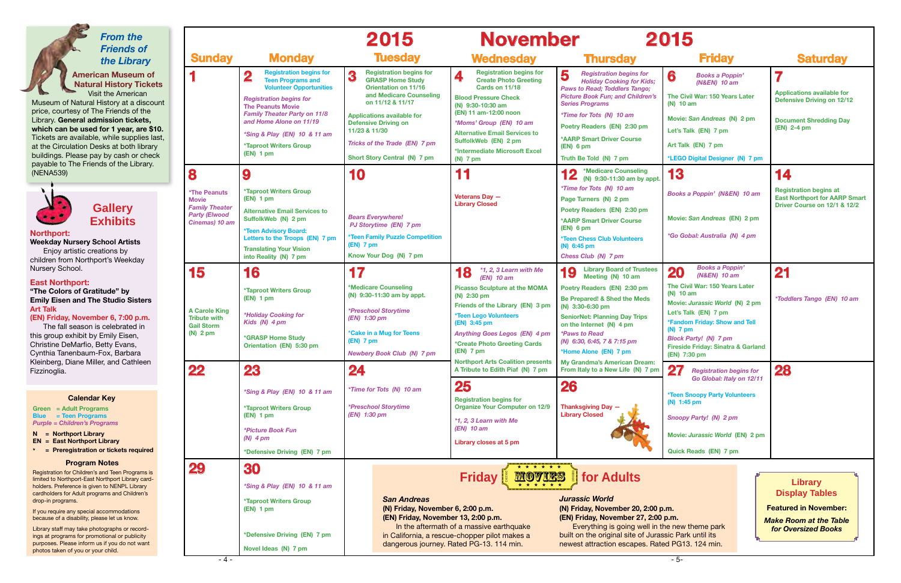purposes. Please inform us if you do not want

photos taken of you or your child.

|                                                                                         |                                                                                                                                                                                                                                                                                                                                         | 2015                                                                                                                                                                                                                                                                                               | <b>November</b>                                                                                                                                                                                                                                                                                              |                                                                                                                                                                                                                                                                                                                              | 2015                                                                                                                                                                                                                                                                                                                                                                   |                                                                                                                             |
|-----------------------------------------------------------------------------------------|-----------------------------------------------------------------------------------------------------------------------------------------------------------------------------------------------------------------------------------------------------------------------------------------------------------------------------------------|----------------------------------------------------------------------------------------------------------------------------------------------------------------------------------------------------------------------------------------------------------------------------------------------------|--------------------------------------------------------------------------------------------------------------------------------------------------------------------------------------------------------------------------------------------------------------------------------------------------------------|------------------------------------------------------------------------------------------------------------------------------------------------------------------------------------------------------------------------------------------------------------------------------------------------------------------------------|------------------------------------------------------------------------------------------------------------------------------------------------------------------------------------------------------------------------------------------------------------------------------------------------------------------------------------------------------------------------|-----------------------------------------------------------------------------------------------------------------------------|
| <b>Sunday</b>                                                                           | <b>Monday</b>                                                                                                                                                                                                                                                                                                                           | <b>Tuesday</b>                                                                                                                                                                                                                                                                                     | <b>Wednesday</b>                                                                                                                                                                                                                                                                                             | <b>Thursday</b>                                                                                                                                                                                                                                                                                                              | <b>Friday</b>                                                                                                                                                                                                                                                                                                                                                          | <b>Saturday</b>                                                                                                             |
|                                                                                         | <b>Registration begins for</b><br>$\overline{\mathbf{2}}$<br><b>Teen Programs and</b><br><b>Volunteer Opportunities</b><br><b>Registration begins for</b><br><b>The Peanuts Movie</b><br><b>Family Theater Party on 11/8</b><br>and Home Alone on 11/19<br>*Sing & Play (EN) 10 & 11 am<br><b>*Taproot Writers Group</b><br>$(EN)$ 1 pm | <b>Registration begins for</b><br>3<br><b>GRASP Home Study</b><br><b>Orientation on 11/16</b><br>and Medicare Counseling<br>on 11/12 & 11/17<br><b>Applications available for</b><br><b>Defensive Driving on</b><br>11/23 & 11/30<br>Tricks of the Trade (EN) 7 pm<br>Short Story Central (N) 7 pm | <b>Registration begins for</b><br>4<br><b>Create Photo Greeting</b><br>Cards on 11/18<br><b>Blood Pressure Check</b><br>(N) 9:30-10:30 am<br>(EN) 11 am-12:00 noon<br>*Moms' Group (EN) 10 am<br><b>Alternative Email Services to</b><br>SuffolkWeb (EN) 2 pm<br>*Intermediate Microsoft Excel<br>$(N)$ 7 pm | 5<br><b>Registration begins for</b><br><b>Holiday Cooking for Kids;</b><br><b>Paws to Read; Toddlers Tango;</b><br><b>Picture Book Fun; and Children's</b><br><b>Series Programs</b><br>*Time for Tots (N) 10 am<br>Poetry Readers (EN) 2:30 pm<br><b>*AARP Smart Driver Course</b><br>$(EN)$ 6 pm<br>Truth Be Told (N) 7 pm | 6<br><b>Books a Poppin'</b><br>(N&EN) 10 am<br>The Civil War: 150 Years Later<br>$(N)$ 10 am<br>Movie: San Andreas (N) 2 pm<br>Let's Talk (EN) 7 pm<br>Art Talk (EN) 7 pm<br>*LEGO Digital Designer (N) 7 pm                                                                                                                                                           | 7<br><b>Applications available for</b><br><b>Defensive Driving on 12/12</b><br><b>Document Shredding Day</b><br>(EN) 2-4 pm |
|                                                                                         | 9                                                                                                                                                                                                                                                                                                                                       | 10                                                                                                                                                                                                                                                                                                 | 11                                                                                                                                                                                                                                                                                                           | ◀ ↑ *Medicare Counseling<br>$\blacksquare$<br>(N) 9:30-11:30 am by appt.                                                                                                                                                                                                                                                     | 13                                                                                                                                                                                                                                                                                                                                                                     | 14                                                                                                                          |
| <b>The Peanuts</b><br>Movie<br><b>Family Theater</b><br>Party (Elwood<br>Cinemas) 10 am | <b>*Taproot Writers Group</b><br>$(EN)$ 1 pm<br><b>Alternative Email Services to</b><br>SuffolkWeb (N) 2 pm<br><b>*Teen Advisory Board:</b><br>Letters to the Troops (EN) 7 pm<br><b>Translating Your Vision</b><br>into Reality (N) 7 pm                                                                                               | <b>Bears Everywhere!</b><br><b>PJ Storytime (EN) 7 pm</b><br><b>*Teen Family Puzzle Competition</b><br>$(EN)$ 7 pm<br>Know Your Dog (N) 7 pm                                                                                                                                                       | Veterans Dav -<br><b>Library Closed</b>                                                                                                                                                                                                                                                                      | *Time for Tots (N) 10 am<br>Page Turners (N) 2 pm<br>Poetry Readers (EN) 2:30 pm<br><b>*AARP Smart Driver Course</b><br>$(EN)$ 6 pm<br><b>*Teen Chess Club Volunteers</b><br>(N) 6:45 pm<br>Chess Club (N) 7 pm                                                                                                              | Books a Poppin' (N&EN) 10 am<br>Movie: San Andreas (EN) 2 pm<br>*Go Gobal: Australia (N) 4 pm                                                                                                                                                                                                                                                                          | <b>Registration begins at</b><br><b>East Northport for AARP Smart</b><br>Driver Course on 12/1 & 12/2                       |
| 15                                                                                      | 16                                                                                                                                                                                                                                                                                                                                      | 17                                                                                                                                                                                                                                                                                                 | *1, 2, 3 Learn with Me<br>18<br>$(EN)$ 10 am                                                                                                                                                                                                                                                                 | <b>Library Board of Trustees</b><br>19<br>Meeting (N) 10 am                                                                                                                                                                                                                                                                  | <b>Books a Poppin'</b><br>20<br>(N&EN) 10 am                                                                                                                                                                                                                                                                                                                           | 21                                                                                                                          |
| <b>A Carole King</b><br><b>Tribute with</b><br>Gail Storm<br>N) $2 \text{ pm}$          | <b>*Taproot Writers Group</b><br>$(EN)$ 1 pm<br>*Holiday Cooking for<br>Kids (N) 4 pm<br><b>*GRASP Home Study</b><br>Orientation (EN) 5:30 pm                                                                                                                                                                                           | *Medicare Counseling<br>(N) 9:30-11:30 am by appt.<br><i><b>*Preschool Storytime</b></i><br>(EN) 1:30 pm<br>*Cake in a Mug for Teens<br>$(EN)$ 7 pm<br><b>Newbery Book Club (N) 7 pm</b>                                                                                                           | <b>Picasso Sculpture at the MOMA</b><br>(N) 2:30 pm<br>Friends of the Library (EN) 3 pm<br>*Teen Lego Volunteers<br>(EN) 3:45 pm<br><b>Anything Goes Legos (EN) 4 pm</b><br><i><b>*Create Photo Greeting Cards</b></i><br>$(EN)$ 7 pm                                                                        | Poetry Readers (EN) 2:30 pm<br>Be Prepared! & Shed the Meds<br>(N) 3:30-6:30 pm<br><b>SeniorNet: Planning Day Trips</b><br>on the Internet (N) 4 pm<br><i><b>*Paws to Read</b></i><br>(N) 6:30, 6:45, 7 & 7:15 pm<br>*Home Alone (EN) 7 pm                                                                                   | The Civil War: 150 Years Later<br>$(N)$ 10 am<br>Movie: Jurassic World (N) 2 pm<br>Let's Talk (EN) 7 pm<br>*Fandom Friday: Show and Tell<br>$(N)$ 7 pm<br><b>Block Party!</b> (N) 7 pm<br><b>Fireside Friday: Sinatra &amp; Garland</b><br>(EN) 7:30 pm                                                                                                                | <i>*Toddlers Tango (EN) 10 am</i>                                                                                           |
| 22                                                                                      | 23                                                                                                                                                                                                                                                                                                                                      | 24                                                                                                                                                                                                                                                                                                 | <b>Northport Arts Coalition presents</b><br>A Tribute to Edith Piaf (N) 7 pm                                                                                                                                                                                                                                 | My Grandma's American Dream:<br>From Italy to a New Life (N) 7 pm                                                                                                                                                                                                                                                            | 27<br><b>Registration begins for</b><br>Go Global: Italy on 12/11                                                                                                                                                                                                                                                                                                      | <b>28</b>                                                                                                                   |
|                                                                                         | *Sing & Play (EN) 10 & 11 am<br><b>*Taproot Writers Group</b><br>$(EN)$ 1 pm<br><i>*Picture Book Fun</i><br>$(N)$ 4 pm<br>*Defensive Driving (EN) 7 pm                                                                                                                                                                                  | *Time for Tots (N) 10 am<br><i><b>*Preschool Storytime</b></i><br>(EN) 1:30 pm                                                                                                                                                                                                                     | 25<br><b>Registration begins for</b><br><b>Organize Your Computer on 12/9</b><br>*1, 2, 3 Learn with Me<br>$(EN)$ 10 am<br>Library closes at 5 pm                                                                                                                                                            | <b>26</b><br><b>Thanksgiving Day -</b><br><b>Library Closed</b>                                                                                                                                                                                                                                                              | <b>*Teen Snoopy Party Volunteers</b><br>(N) 1:45 pm<br>Snoopy Party! (N) 2 pm<br>Movie: Jurassic World (EN) 2 pm<br>Quick Reads (EN) 7 pm                                                                                                                                                                                                                              |                                                                                                                             |
| 29                                                                                      | 30<br>*Sing & Play (EN) 10 & 11 am<br><b>*Taproot Writers Group</b><br>$(EN)$ 1 pm<br>*Defensive Driving (EN) 7 pm<br>Novel Ideas (N) 7 pm                                                                                                                                                                                              | <b>San Andreas</b>                                                                                                                                                                                                                                                                                 | * * * * * *<br><u>Movies</u><br><b>Friday</b><br>(N) Friday, November 6, 2:00 p.m.<br>(EN) Friday, November 13, 2:00 p.m.<br>In the aftermath of a massive earthquake<br>in California, a rescue-chopper pilot makes a<br>dangerous journey. Rated PG-13. 114 min.                                           |                                                                                                                                                                                                                                                                                                                              | for Adults<br><b>Jurassic World</b><br><b>Featured in November:</b><br>(N) Friday, November 20, 2:00 p.m.<br>(EN) Friday, November 27, 2:00 p.m.<br><b>Make Room at the Table</b><br>Everything is going well in the new theme park<br>for Oversized Books<br>built on the original site of Jurassic Park until its<br>newest attraction escapes. Rated PG13. 124 min. |                                                                                                                             |
| $-4-$                                                                                   |                                                                                                                                                                                                                                                                                                                                         | $-5-$                                                                                                                                                                                                                                                                                              |                                                                                                                                                                                                                                                                                                              |                                                                                                                                                                                                                                                                                                                              |                                                                                                                                                                                                                                                                                                                                                                        |                                                                                                                             |

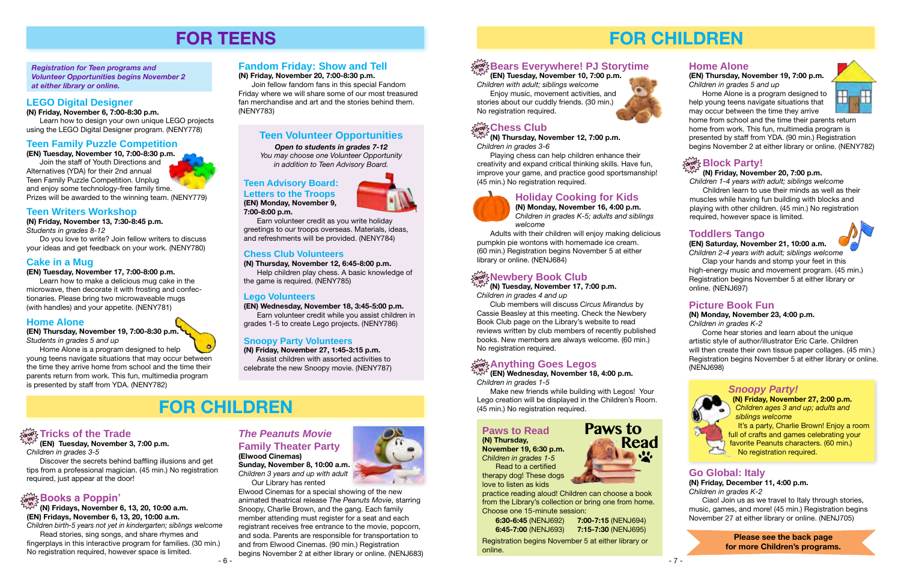# **FOR CHILDREN**

- 7 -

 Playing chess can help children enhance their creativity and expand critical thinking skills. Have fun, improve your game, and practice good sportsmanship! (45 min.) No registration required.

**(N) Thursday, November 12, 7:00 p.m.** *Children in grades 3-6* **in**

> **Please see the back page for more Children's programs.**





# **Holiday Cooking for Kids**

**(N) Monday, November 16, 4:00 p.m.** *Children in grades K-5; adults and siblings welcome*



 Adults with their children will enjoy making delicious pumpkin pie wontons with homemade ice cream. (60 min.) Registration begins November 5 at either library or online. ([NENJ684](http://alpha2.suffolk.lib.ny.us/search/?searchtype=X&SORT=D&searcharg=nenj684&searchscope=43))

 $\mathbb{W}^{\mathcal{F}}$  (EN) Wednesday, November 18, 4:00 p.m. *Children in grades 1-5*

**Bears Everywhere! PJ Storytime drop in (EN) Tuesday, November 10, 7:00 p.m.**



*Children with adult; siblings welcome*

 Enjoy music, movement activities, and stories about our cuddly friends. (30 min.)

**(N) Tuesday, November 17, 7:00 p.m.** *Children in grades 4 and up*

Club members will discuss *Circus Mirandus* by Cassie Beasley at this meeting. Check the Newbery Book Club page on the Library's website to read reviews written by club members of recently published books. New members are always welcome. (60 min.) No registration required.

# $\frac{1}{\alpha! \alpha!}$  Anything Goes Legos

Make new friends while building with Legos! Your Lego creation will be displayed in the Children's Room. (45 min.) No registration required.

# **Paws to Read**

**(N) Thursday, November 19, 6:30 p.m.** *Children in grades 1-5* Read to a certified therapy dog! These dogs

love to listen as kids



practice reading aloud! Children can choose a book from the Library's collection or bring one from home. Choose one 15-minute session:

| 6:30-6:45 (NENJ692) | 7:00-7:15 (NENJ694) |
|---------------------|---------------------|
| 6:45-7:00 (NENJ693) | 7:15-7:30 (NENJ695) |

#### $\frac{d}{d\sigma}$  **Rewbery Book Club in**

Registration begins November 5 at either library or online.





# **Home Alone**

**(EN) Thursday, November 19, 7:00 p.m.**  *Children in grades 5 and up*

 Home Alone is a program designed to help young teens navigate situations that may occur between the time they arrive

home from school and the time their parents return home from work. This fun, multimedia program is presented by staff from YDA. (90 min.) Registration begins November 2 at either library or online. ([NENY782](http://alpha2.suffolk.lib.ny.us/search/?searchtype=X&SORT=D&searcharg=nenj782&searchscope=43))

# ardry! Block Party!

## **(N) Friday, November 20, 7:00 p.m.**

*Children 1-4 years with adult; siblings welcome* Children learn to use their minds as well as their muscles while having fun building with blocks and playing with other children. (45 min.) No registration required, however space is limited.

# **Toddlers Tango**

**(EN) Saturday, November 21, 10:00 a.m.** *Children 2-4 years with adult; siblings welcome*

 Clap your hands and stomp your feet in this high-energy music and movement program. (45 min.) Registration begins November 5 at either library or online. ([NENJ697](http://alpha2.suffolk.lib.ny.us/search/?searchtype=X&SORT=D&searcharg=nenj697&searchscope=43))

# *Snoopy Party!*

**(N) Friday, November 27, 2:00 p.m.**  *Children ages 3 and up; adults and siblings welcome*

 It's a party, Charlie Brown! Enjoy a room full of crafts and games celebrating your favorite Peanuts characters. (60 min.) No registration required.

# **Go Global: Italy**

**(N) Friday, December 11, 4:00 p.m.**  *Children in grades K-2*

Ciao! Join us as we travel to Italy through stories, music, games, and more! (45 min.) Registration begins November 27 at either library or online. [\(NENJ705\)](http://alpha2.suffolk.lib.ny.us/search/?searchtype=X&SORT=D&searcharg=nenj705&searchscope=43)

#### **Reade Trade Reade Reade Reade Reader in the Peanuts Movie Consumer Server in the Paws to Reader Reader Reader Reader Reader Reader Reader Paws to Reader Reader Reader Reader Reader Reader Paws to Reader Reader R** *The Peanuts Movie* **Family Theater Party (Elwood Cinemas)**

# **Picture Book Fun**

# **(N) Monday, November 23, 4:00 p.m.**

*Children in grades K-2*

Come hear stories and learn about the unique artistic style of author/illustrator Eric Carle. Children will then create their own tissue paper collages. (45 min.) Registration begins November 5 at either library or online. ([NENJ698](http://alpha2.suffolk.lib.ny.us/search/?searchtype=X&SORT=D&searcharg=nenj698&searchscope=43))

*Children in grades 3-5*

 Discover the secrets behind baffling illusions and get tips from a professional magician. (45 min.) No registration required, just appear at the door!

# $\frac{1}{\alpha! \alpha!}$  Books a Poppin'

#### **(EN) Tuesday, November 3, 7:00 p.m. in**

**(N) Fridays, November 6, 13, 20, 10:00 a.m. (EN) Fridays, November 6, 13, 20, 10:00 a.m.** *Children birth-5 years not yet in kindergarten; siblings welcome* **in**

Read stories, sing songs, and share rhymes and fingerplays in this interactive program for families. (30 min.) No registration required, however space is limited.

# **FOR TEENS**

*Registration for Teen programs and Volunteer Opportunities begins November 2 at either library or online.*

# **Teen Volunteer Opportunities**

*Open to students in grades 7-12*

*You may choose one Volunteer Opportunity in addition to Teen Advisory Board.* 

### **Teen Advisory Board:**

**Letters to the Troops (EN) Monday, November 9,** 

**7:00-8:00 p.m.**



Earn volunteer credit as you write holiday greetings to our troops overseas. Materials, ideas, and refreshments will be provided. [\(NENY784](http://alpha2.suffolk.lib.ny.us/search/?searchtype=X&SORT=D&searcharg=neny784&searchscope=43))

### **Chess Club Volunteers**

**(N) Thursday, November 12, 6:45-8:00 p.m.** Help children play chess. A basic knowledge of

the game is required. ([NENY785](http://alpha2.suffolk.lib.ny.us/search/?searchtype=X&SORT=D&searcharg=neny785&searchscope=43))

#### **Lego Volunteers**

**(EN) Wednesday, November 18, 3:45-5:00 p.m.**

Earn volunteer credit while you assist children in grades 1-5 to create Lego projects. [\(NENY786\)](http://alpha2.suffolk.lib.ny.us/search/?searchtype=X&SORT=D&searcharg=neny786&searchscope=43)

### **Snoopy Party Volunteers**

**(N) Friday, November 27, 1:45-3:15 p.m.** Assist children with assorted activities to celebrate the new Snoopy movie. ([NENY787\)](http://alpha2.suffolk.lib.ny.us/search/?searchtype=X&SORT=D&searcharg=neny787&searchscope=43)

# **Fandom Friday: Show and Tell**

#### **(N) Friday, November 20, 7:00-8:30 p.m.**

 Join fellow fandom fans in this special Fandom Friday where we will share some of our most treasured fan merchandise and art and the stories behind them. ([NENY783](http://alpha2.suffolk.lib.ny.us/search/?searchtype=X&SORT=D&searcharg=neny783&searchscope=43))

## **LEGO Digital Designer**

#### **(N) Friday, November 6, 7:00-8:30 p.m.**

 Learn how to design your own unique LEGO projects using the LEGO Digital Designer program. [\(NENY778](http://alpha2.suffolk.lib.ny.us/search/?searchtype=X&SORT=D&searcharg=neny778&searchscope=43))

### **Teen Family Puzzle Competition**

**(EN) Tuesday, November 10, 7:00-8:30 p.m.** Join the staff of Youth Directions and Alternatives (YDA) for their 2nd annual Teen Family Puzzle Competition. Unplug and enjoy some technology-free family time.

Prizes will be awarded to the winning team. ([NENY779\)](http://alpha2.suffolk.lib.ny.us/search/?searchtype=X&SORT=D&searcharg=neny779&searchscope=43)

### **Cake in a Mug**

#### **(EN) Tuesday, November 17, 7:00-8:00 p.m.**

Learn how to make a delicious mug cake in the microwave, then decorate it with frosting and confectionaries. Please bring two microwaveable mugs (with handles) and your appetite. ([NENY781\)](http://alpha2.suffolk.lib.ny.us/search/?searchtype=X&SORT=D&searcharg=neny781&searchscope=43)

### **Home Alone**

**(EN) Thursday, November 19, 7:00-8:30 p.m.** *Students in grades 5 and up*

 Home Alone is a program designed to help young teens navigate situations that may occur between the time they arrive home from school and the time their parents return from work. This fun, multimedia program is presented by staff from YDA. ([NENY782](http://alpha2.suffolk.lib.ny.us/search/?searchtype=X&SORT=D&searcharg=neny782&searchscope=43))

> **Sunday, November 8, 10:00 a.m.** *Children 3 years and up with adult* Our Library has rented

Elwood Cinemas for a special showing of the new animated theatrical release *The Peanuts Movie*, starring Snoopy, Charlie Brown, and the gang. Each family member attending must register for a seat and each registrant receives free entrance to the movie, popcorn, and soda. Parents are responsible for transportation to and from Elwood Cinemas. (90 min.) Registration begins November 2 at either library or online. [\(NENJ683\)](http://alpha2.suffolk.lib.ny.us/search/?searchtype=X&SORT=D&searcharg=nenj683&searchscope=43)



# **FOR CHILDREN**

# drop<sup>2</sup> Tricks of the Trade

# **Teen Writers Workshop**

**(N) Friday, November 13, 7:30-8:45 p.m.**

*Students in grades 8-12*

Do you love to write? Join fellow writers to discuss your ideas and get feedback on your work. ([NENY780](http://alpha2.suffolk.lib.ny.us/search/?searchtype=X&SORT=D&searcharg=neny780&searchscope=43))